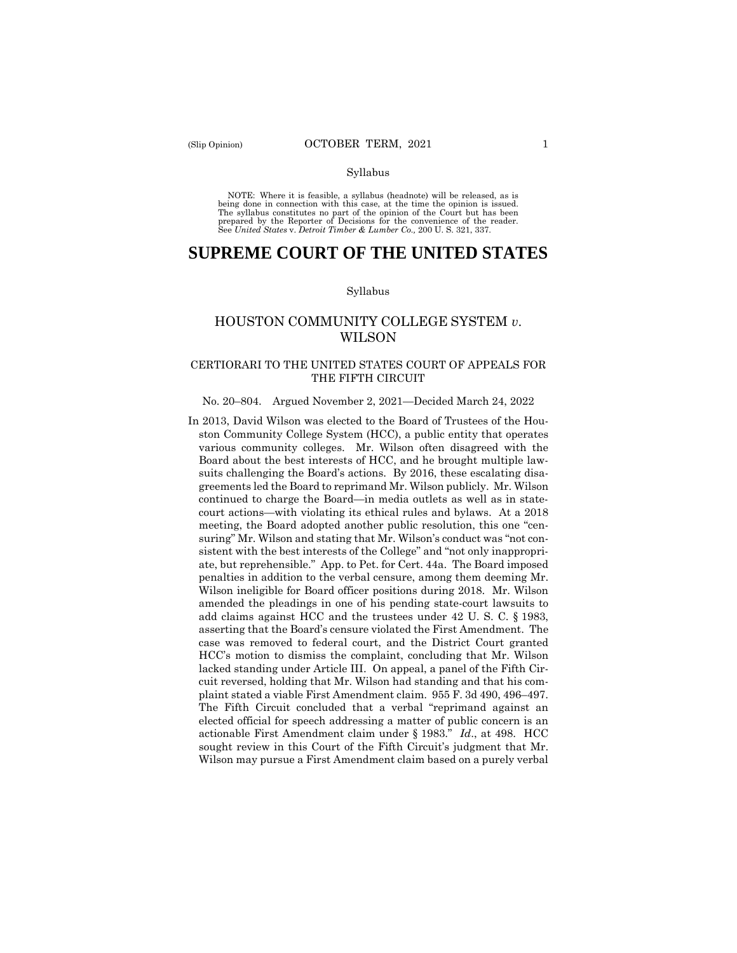#### Syllabus

 NOTE: Where it is feasible, a syllabus (headnote) will be released, as is being done in connection with this case, at the time the opinion is issued. The syllabus constitutes no part of the opinion of the Court but has been<br>prepared by the Reporter of Decisions for the convenience of the reader.<br>See United States v. Detroit Timber & Lumber Co., 200 U.S. 321, 337.

# **SUPREME COURT OF THE UNITED STATES**

#### Syllabus

# HOUSTON COMMUNITY COLLEGE SYSTEM *v*. WILSON

# CERTIORARI TO THE UNITED STATES COURT OF APPEALS FOR THE FIFTH CIRCUIT

#### No. 20–804. Argued November 2, 2021—Decided March 24, 2022

 various community colleges. Mr. Wilson often disagreed with the plaint stated a viable First Amendment claim. 955 F. 3d 490, 496-497. Wilson may pursue a First Amendment claim based on a purely verbal In 2013, David Wilson was elected to the Board of Trustees of the Houston Community College System (HCC), a public entity that operates Board about the best interests of HCC, and he brought multiple lawsuits challenging the Board's actions. By 2016, these escalating disagreements led the Board to reprimand Mr. Wilson publicly. Mr. Wilson continued to charge the Board—in media outlets as well as in statecourt actions—with violating its ethical rules and bylaws. At a 2018 meeting, the Board adopted another public resolution, this one "censuring" Mr. Wilson and stating that Mr. Wilson's conduct was "not consistent with the best interests of the College" and "not only inappropriate, but reprehensible." App. to Pet. for Cert. 44a. The Board imposed penalties in addition to the verbal censure, among them deeming Mr. Wilson ineligible for Board officer positions during 2018. Mr. Wilson amended the pleadings in one of his pending state-court lawsuits to add claims against HCC and the trustees under 42 U. S. C. § 1983, asserting that the Board's censure violated the First Amendment. The case was removed to federal court, and the District Court granted HCC's motion to dismiss the complaint, concluding that Mr. Wilson lacked standing under Article III. On appeal, a panel of the Fifth Circuit reversed, holding that Mr. Wilson had standing and that his com-The Fifth Circuit concluded that a verbal "reprimand against an elected official for speech addressing a matter of public concern is an actionable First Amendment claim under § 1983." *Id*., at 498. HCC sought review in this Court of the Fifth Circuit's judgment that Mr.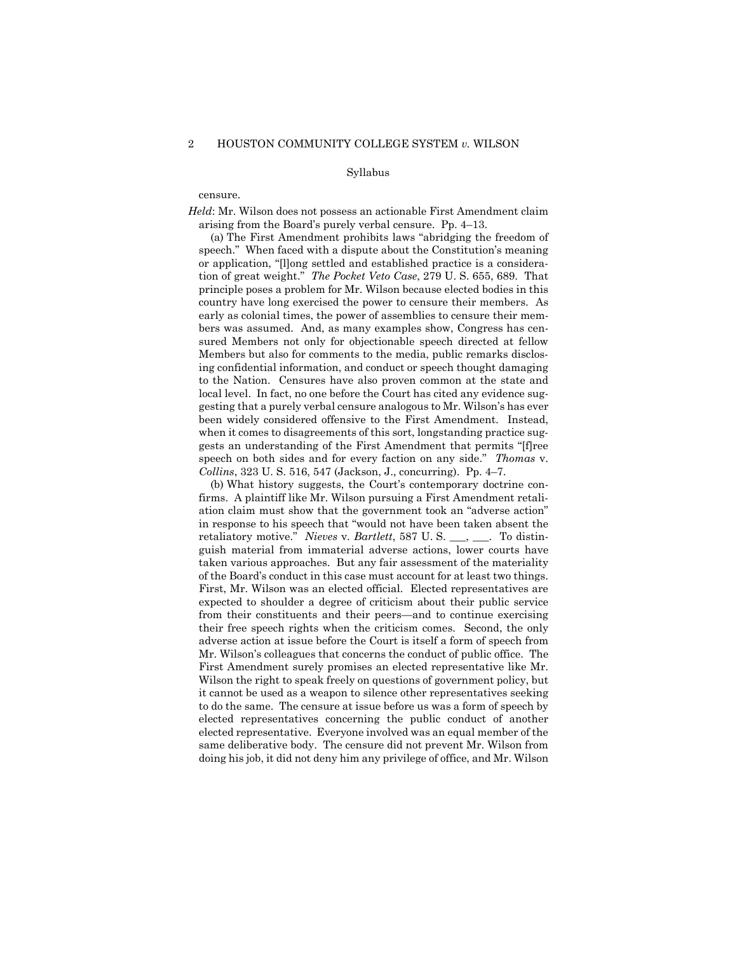## Syllabus

#### censure.

*Held*: Mr. Wilson does not possess an actionable First Amendment claim arising from the Board's purely verbal censure. Pp. 4–13.

(a) The First Amendment prohibits laws "abridging the freedom of speech." When faced with a dispute about the Constitution's meaning or application, "[l]ong settled and established practice is a consideration of great weight." *The Pocket Veto Case*, 279 U. S. 655, 689. That principle poses a problem for Mr. Wilson because elected bodies in this country have long exercised the power to censure their members. As early as colonial times, the power of assemblies to censure their members was assumed. And, as many examples show, Congress has censured Members not only for objectionable speech directed at fellow Members but also for comments to the media, public remarks disclosing confidential information, and conduct or speech thought damaging to the Nation. Censures have also proven common at the state and local level. In fact, no one before the Court has cited any evidence suggesting that a purely verbal censure analogous to Mr. Wilson's has ever been widely considered offensive to the First Amendment. Instead, when it comes to disagreements of this sort, longstanding practice suggests an understanding of the First Amendment that permits "[f]ree speech on both sides and for every faction on any side." *Thomas* v. *Collins*, 323 U. S. 516, 547 (Jackson, J., concurring). Pp. 4–7.

(b) What history suggests, the Court's contemporary doctrine confirms. A plaintiff like Mr. Wilson pursuing a First Amendment retaliation claim must show that the government took an "adverse action" in response to his speech that "would not have been taken absent the retaliatory motive." *Nieves* v. *Bartlett*, 587 U. S. \_\_\_, \_\_\_. To distinguish material from immaterial adverse actions, lower courts have taken various approaches. But any fair assessment of the materiality of the Board's conduct in this case must account for at least two things. First, Mr. Wilson was an elected official. Elected representatives are expected to shoulder a degree of criticism about their public service from their constituents and their peers—and to continue exercising their free speech rights when the criticism comes. Second, the only adverse action at issue before the Court is itself a form of speech from Mr. Wilson's colleagues that concerns the conduct of public office. The First Amendment surely promises an elected representative like Mr. Wilson the right to speak freely on questions of government policy, but it cannot be used as a weapon to silence other representatives seeking to do the same. The censure at issue before us was a form of speech by elected representatives concerning the public conduct of another elected representative. Everyone involved was an equal member of the same deliberative body. The censure did not prevent Mr. Wilson from doing his job, it did not deny him any privilege of office, and Mr. Wilson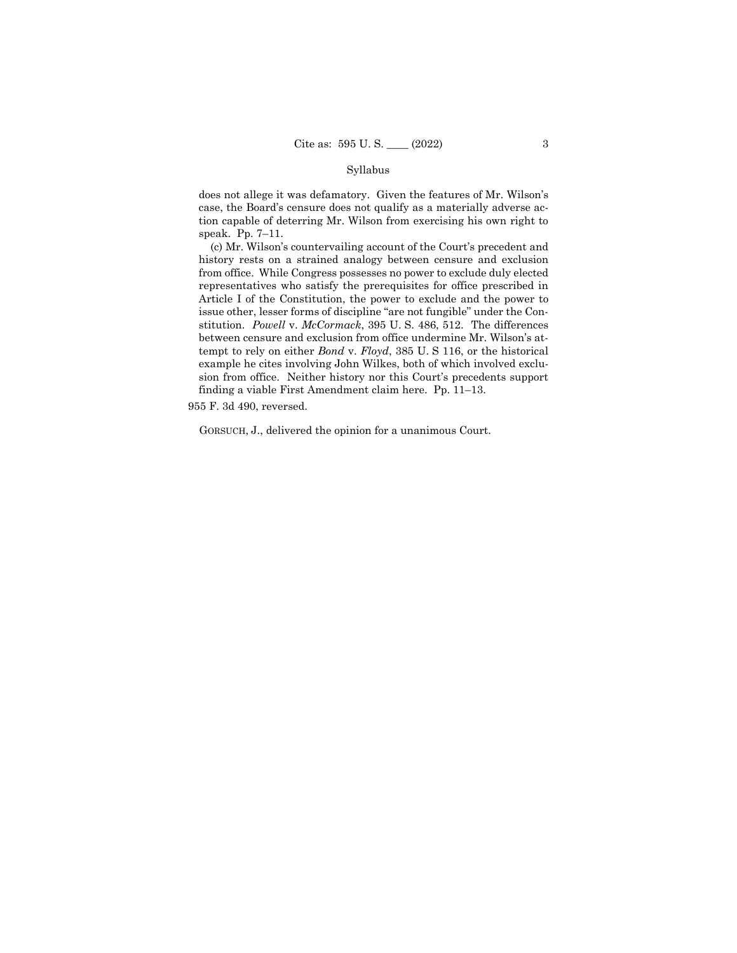## Syllabus

does not allege it was defamatory. Given the features of Mr. Wilson's case, the Board's censure does not qualify as a materially adverse action capable of deterring Mr. Wilson from exercising his own right to speak. Pp. 7–11.

(c) Mr. Wilson's countervailing account of the Court's precedent and history rests on a strained analogy between censure and exclusion from office. While Congress possesses no power to exclude duly elected representatives who satisfy the prerequisites for office prescribed in Article I of the Constitution, the power to exclude and the power to issue other, lesser forms of discipline "are not fungible" under the Constitution. *Powell* v. *McCormack*, 395 U. S. 486, 512. The differences between censure and exclusion from office undermine Mr. Wilson's attempt to rely on either *Bond* v. *Floyd*, 385 U. S 116, or the historical example he cites involving John Wilkes, both of which involved exclusion from office. Neither history nor this Court's precedents support finding a viable First Amendment claim here. Pp. 11–13.

955 F. 3d 490, reversed.

GORSUCH, J., delivered the opinion for a unanimous Court.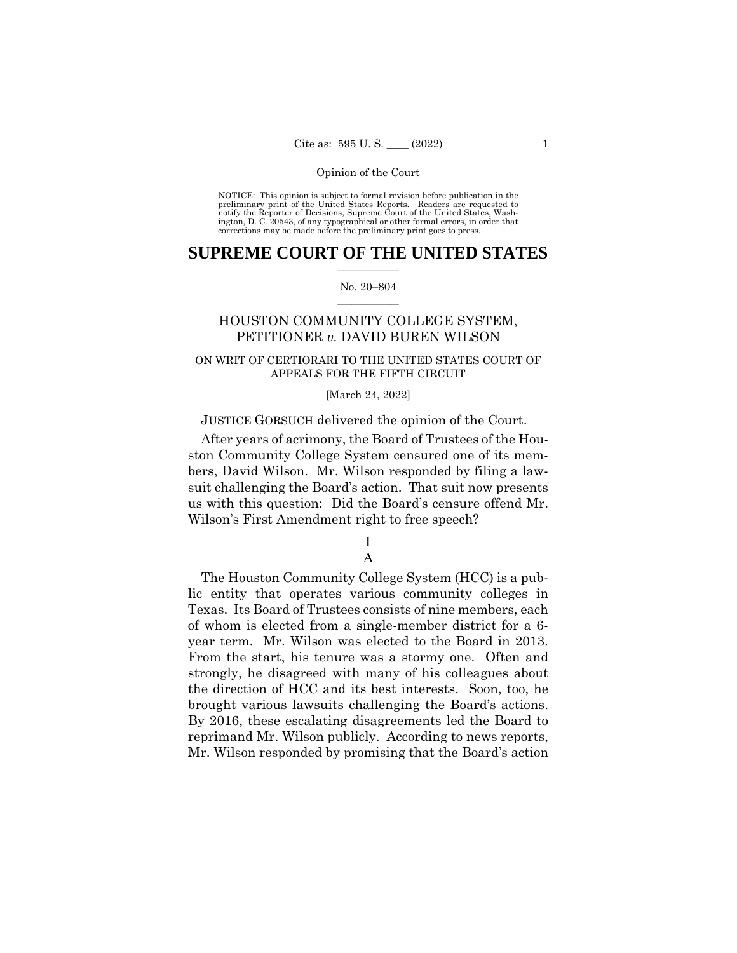NOTICE: This opinion is subject to formal revision before publication in the preliminary print of the United States Reports. Readers are requested to notify the Reporter of Decisions, Supreme Court of the United States, Wash-ington, D. C. 20543, of any typographical or other formal errors, in order that corrections may be made before the preliminary print goes to press.

# $\frac{1}{2}$  , where  $\frac{1}{2}$ **SUPREME COURT OF THE UNITED STATES**

## $\frac{1}{2}$  ,  $\frac{1}{2}$  ,  $\frac{1}{2}$  ,  $\frac{1}{2}$  ,  $\frac{1}{2}$  ,  $\frac{1}{2}$ No. 20–804

# HOUSTON COMMUNITY COLLEGE SYSTEM, PETITIONER *v.* DAVID BUREN WILSON

# ON WRIT OF CERTIORARI TO THE UNITED STATES COURT OF APPEALS FOR THE FIFTH CIRCUIT

## [March 24, 2022]

# JUSTICE GORSUCH delivered the opinion of the Court.

After years of acrimony, the Board of Trustees of the Houston Community College System censured one of its members, David Wilson. Mr. Wilson responded by filing a lawsuit challenging the Board's action. That suit now presents us with this question: Did the Board's censure offend Mr. Wilson's First Amendment right to free speech?

# I A

# brought various lawsuits challenging the Board's actions. The Houston Community College System (HCC) is a public entity that operates various community colleges in Texas. Its Board of Trustees consists of nine members, each of whom is elected from a single-member district for a 6 year term. Mr. Wilson was elected to the Board in 2013. From the start, his tenure was a stormy one. Often and strongly, he disagreed with many of his colleagues about the direction of HCC and its best interests. Soon, too, he By 2016, these escalating disagreements led the Board to reprimand Mr. Wilson publicly. According to news reports, Mr. Wilson responded by promising that the Board's action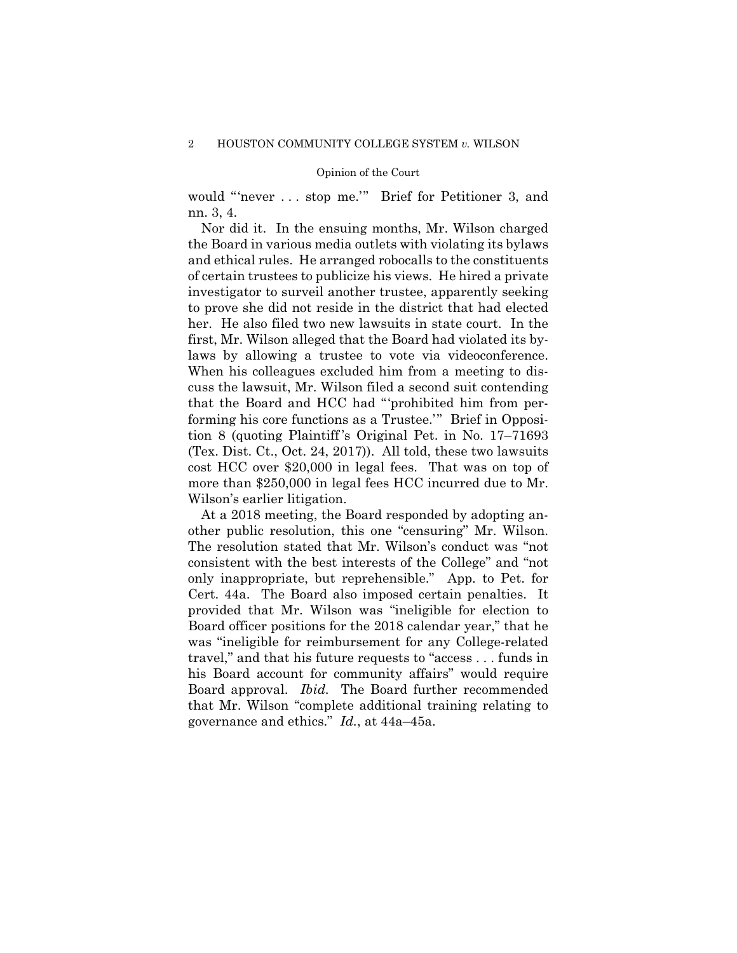would "'never . . . stop me.'" Brief for Petitioner 3, and nn. 3, 4.

Nor did it. In the ensuing months, Mr. Wilson charged the Board in various media outlets with violating its bylaws and ethical rules. He arranged robocalls to the constituents of certain trustees to publicize his views. He hired a private investigator to surveil another trustee, apparently seeking to prove she did not reside in the district that had elected her. He also filed two new lawsuits in state court. In the first, Mr. Wilson alleged that the Board had violated its bylaws by allowing a trustee to vote via videoconference. When his colleagues excluded him from a meeting to discuss the lawsuit, Mr. Wilson filed a second suit contending that the Board and HCC had "'prohibited him from performing his core functions as a Trustee.'" Brief in Opposition 8 (quoting Plaintiff 's Original Pet. in No. 17–71693 (Tex. Dist. Ct., Oct. 24, 2017)). All told, these two lawsuits cost HCC over \$20,000 in legal fees. That was on top of more than \$250,000 in legal fees HCC incurred due to Mr. Wilson's earlier litigation.

At a 2018 meeting, the Board responded by adopting another public resolution, this one "censuring" Mr. Wilson. The resolution stated that Mr. Wilson's conduct was "not consistent with the best interests of the College" and "not only inappropriate, but reprehensible." App. to Pet. for Cert. 44a. The Board also imposed certain penalties. It provided that Mr. Wilson was "ineligible for election to Board officer positions for the 2018 calendar year," that he was "ineligible for reimbursement for any College-related travel," and that his future requests to "access . . . funds in his Board account for community affairs" would require Board approval. *Ibid.* The Board further recommended that Mr. Wilson "complete additional training relating to governance and ethics." *Id.*, at 44a–45a.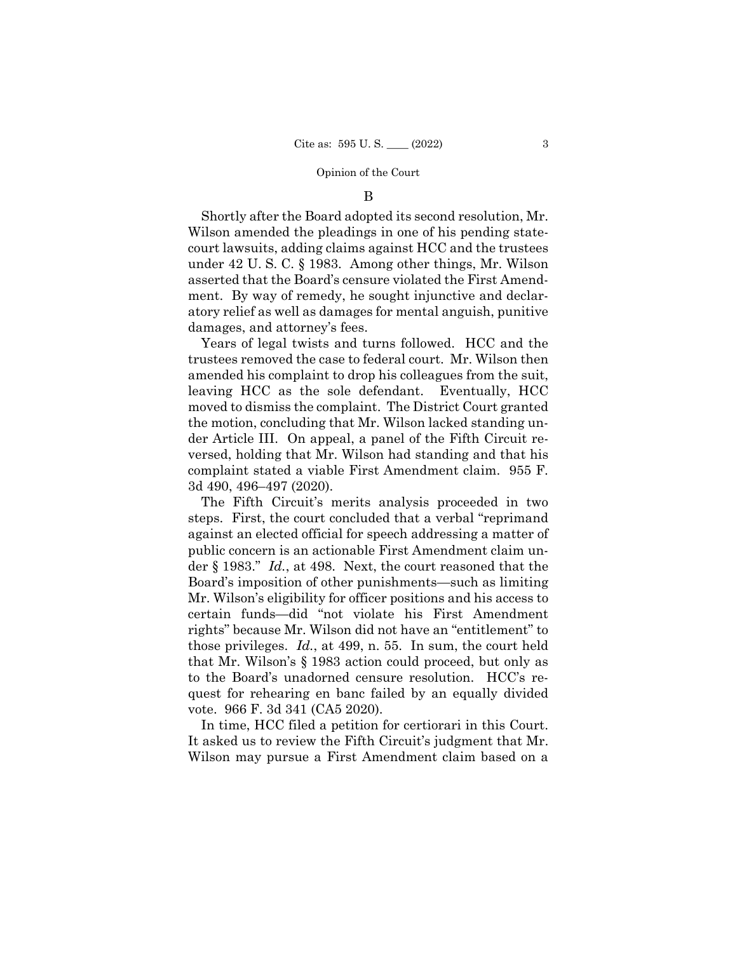## B

Shortly after the Board adopted its second resolution, Mr. Wilson amended the pleadings in one of his pending statecourt lawsuits, adding claims against HCC and the trustees under 42 U. S. C. § 1983. Among other things, Mr. Wilson asserted that the Board's censure violated the First Amendment. By way of remedy, he sought injunctive and declaratory relief as well as damages for mental anguish, punitive damages, and attorney's fees.

Years of legal twists and turns followed. HCC and the trustees removed the case to federal court. Mr. Wilson then amended his complaint to drop his colleagues from the suit, leaving HCC as the sole defendant. Eventually, HCC moved to dismiss the complaint. The District Court granted the motion, concluding that Mr. Wilson lacked standing under Article III. On appeal, a panel of the Fifth Circuit reversed, holding that Mr. Wilson had standing and that his complaint stated a viable First Amendment claim. 955 F. 3d 490, 496–497 (2020).

The Fifth Circuit's merits analysis proceeded in two steps. First, the court concluded that a verbal "reprimand against an elected official for speech addressing a matter of public concern is an actionable First Amendment claim under § 1983." *Id.*, at 498. Next, the court reasoned that the Board's imposition of other punishments—such as limiting Mr. Wilson's eligibility for officer positions and his access to certain funds—did "not violate his First Amendment rights" because Mr. Wilson did not have an "entitlement" to those privileges. *Id.*, at 499, n. 55. In sum, the court held that Mr. Wilson's § 1983 action could proceed, but only as to the Board's unadorned censure resolution. HCC's request for rehearing en banc failed by an equally divided vote. 966 F. 3d 341 (CA5 2020).

In time, HCC filed a petition for certiorari in this Court. It asked us to review the Fifth Circuit's judgment that Mr. Wilson may pursue a First Amendment claim based on a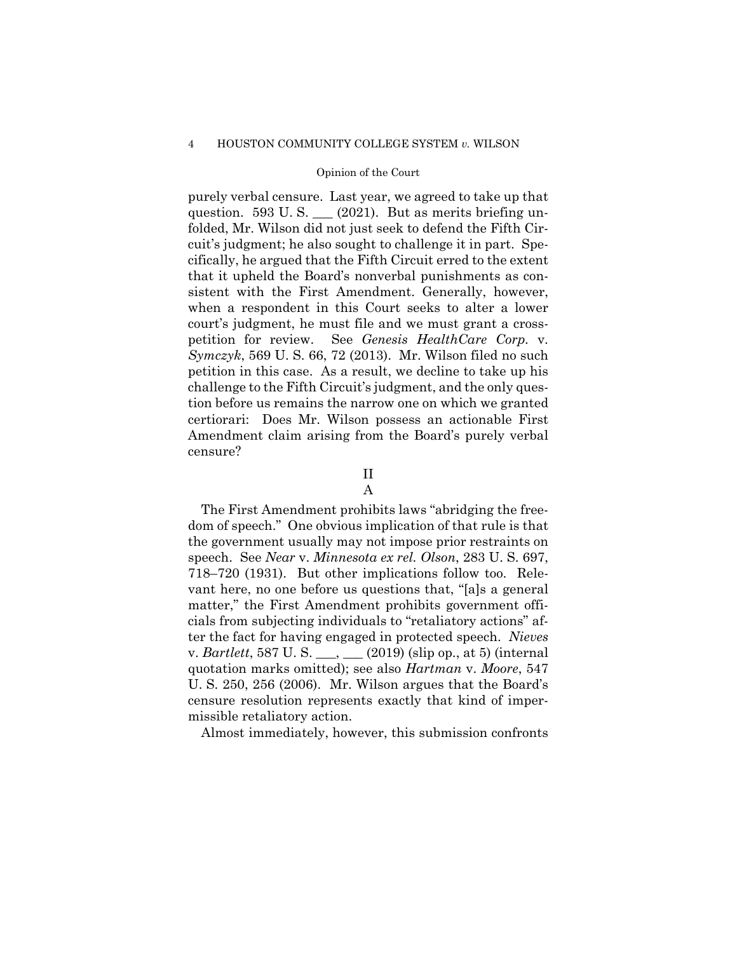#### 4 HOUSTON COMMUNITY COLLEGE SYSTEM *v.* WILSON

## Opinion of the Court

purely verbal censure. Last year, we agreed to take up that question. 593 U.S.  $(2021)$ . But as merits briefing unfolded, Mr. Wilson did not just seek to defend the Fifth Circuit's judgment; he also sought to challenge it in part. Specifically, he argued that the Fifth Circuit erred to the extent that it upheld the Board's nonverbal punishments as consistent with the First Amendment. Generally, however, when a respondent in this Court seeks to alter a lower court's judgment, he must file and we must grant a crosspetition for review. See *Genesis HealthCare Corp.* v. *Symczyk*, 569 U. S. 66, 72 (2013). Mr. Wilson filed no such petition in this case. As a result, we decline to take up his challenge to the Fifth Circuit's judgment, and the only question before us remains the narrow one on which we granted certiorari: Does Mr. Wilson possess an actionable First Amendment claim arising from the Board's purely verbal censure?

# II

## A

The First Amendment prohibits laws "abridging the freedom of speech." One obvious implication of that rule is that the government usually may not impose prior restraints on speech. See *Near* v. *Minnesota ex rel. Olson*, 283 U. S. 697, 718–720 (1931). But other implications follow too. Relevant here, no one before us questions that, "[a]s a general matter," the First Amendment prohibits government officials from subjecting individuals to "retaliatory actions" after the fact for having engaged in protected speech. *Nieves*  v. *Bartlett*, 587 U. S. \_\_\_, \_\_\_ (2019) (slip op., at 5) (internal quotation marks omitted); see also *Hartman* v. *Moore*, 547 U. S. 250, 256 (2006). Mr. Wilson argues that the Board's censure resolution represents exactly that kind of impermissible retaliatory action.

Almost immediately, however, this submission confronts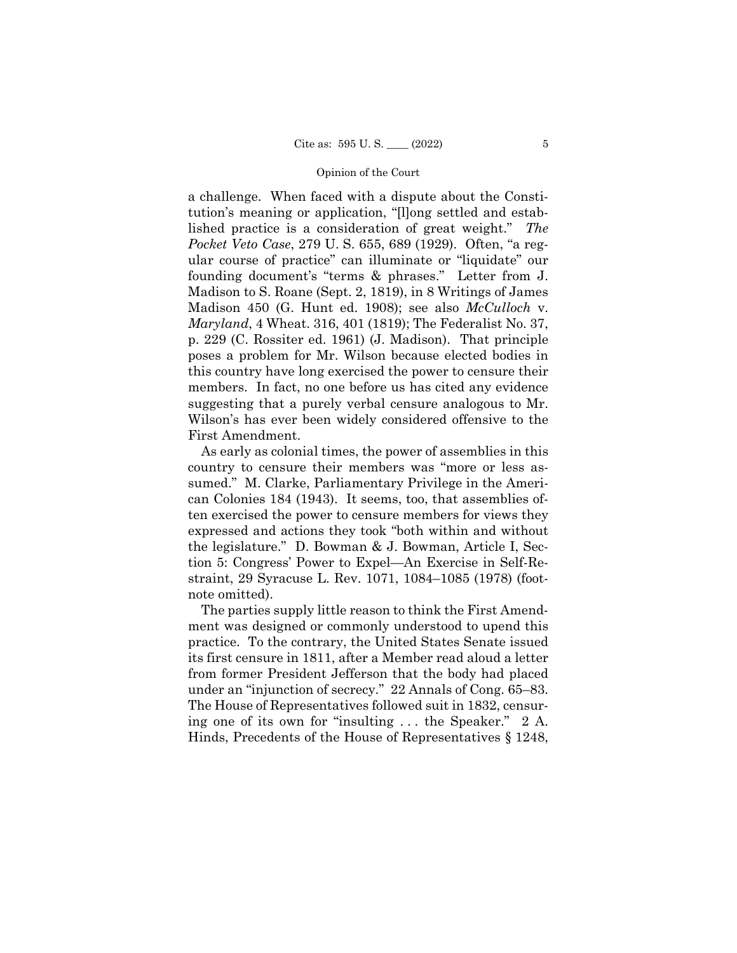a challenge. When faced with a dispute about the Constitution's meaning or application, "[l]ong settled and established practice is a consideration of great weight." *The Pocket Veto Case*, 279 U. S. 655, 689 (1929). Often, "a regular course of practice" can illuminate or "liquidate" our founding document's "terms & phrases." Letter from J. Madison to S. Roane (Sept. 2, 1819), in 8 Writings of James Madison 450 (G. Hunt ed. 1908); see also *McCulloch* v. *Maryland*, 4 Wheat. 316, 401 (1819); The Federalist No. 37, p. 229 (C. Rossiter ed. 1961) (J. Madison). That principle poses a problem for Mr. Wilson because elected bodies in this country have long exercised the power to censure their members. In fact, no one before us has cited any evidence suggesting that a purely verbal censure analogous to Mr. Wilson's has ever been widely considered offensive to the First Amendment.

As early as colonial times, the power of assemblies in this country to censure their members was "more or less assumed." M. Clarke, Parliamentary Privilege in the American Colonies 184 (1943). It seems, too, that assemblies often exercised the power to censure members for views they expressed and actions they took "both within and without the legislature." D. Bowman & J. Bowman, Article I, Section 5: Congress' Power to Expel—An Exercise in Self-Restraint, 29 Syracuse L. Rev. 1071, 1084–1085 (1978) (footnote omitted).

The parties supply little reason to think the First Amendment was designed or commonly understood to upend this practice. To the contrary, the United States Senate issued its first censure in 1811, after a Member read aloud a letter from former President Jefferson that the body had placed under an "injunction of secrecy." 22 Annals of Cong. 65–83. The House of Representatives followed suit in 1832, censuring one of its own for "insulting . . . the Speaker." 2 A. Hinds, Precedents of the House of Representatives § 1248,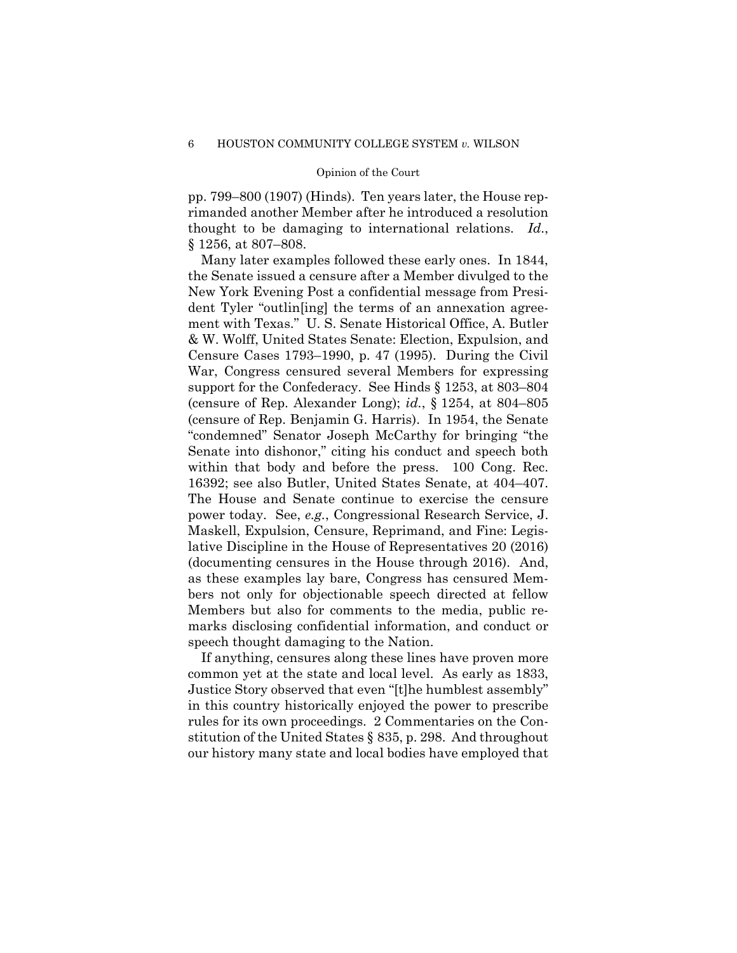pp. 799–800 (1907) (Hinds). Ten years later, the House reprimanded another Member after he introduced a resolution thought to be damaging to international relations. *Id*., § 1256, at 807–808.

Many later examples followed these early ones. In 1844, the Senate issued a censure after a Member divulged to the New York Evening Post a confidential message from President Tyler "outlin[ing] the terms of an annexation agreement with Texas." U. S. Senate Historical Office, A. Butler & W. Wolff, United States Senate: Election, Expulsion, and Censure Cases 1793–1990, p. 47 (1995). During the Civil War, Congress censured several Members for expressing support for the Confederacy. See Hinds § 1253, at 803–804 (censure of Rep. Alexander Long); *id.*, § 1254, at 804–805 (censure of Rep. Benjamin G. Harris). In 1954, the Senate "condemned" Senator Joseph McCarthy for bringing "the Senate into dishonor," citing his conduct and speech both within that body and before the press. 100 Cong. Rec. 16392; see also Butler, United States Senate, at 404–407. The House and Senate continue to exercise the censure power today. See, *e.g.*, Congressional Research Service, J. Maskell, Expulsion, Censure, Reprimand, and Fine: Legislative Discipline in the House of Representatives 20 (2016) (documenting censures in the House through 2016). And, as these examples lay bare, Congress has censured Members not only for objectionable speech directed at fellow Members but also for comments to the media, public remarks disclosing confidential information, and conduct or speech thought damaging to the Nation.

If anything, censures along these lines have proven more common yet at the state and local level. As early as 1833, Justice Story observed that even "[t]he humblest assembly" in this country historically enjoyed the power to prescribe rules for its own proceedings. 2 Commentaries on the Constitution of the United States § 835, p. 298. And throughout our history many state and local bodies have employed that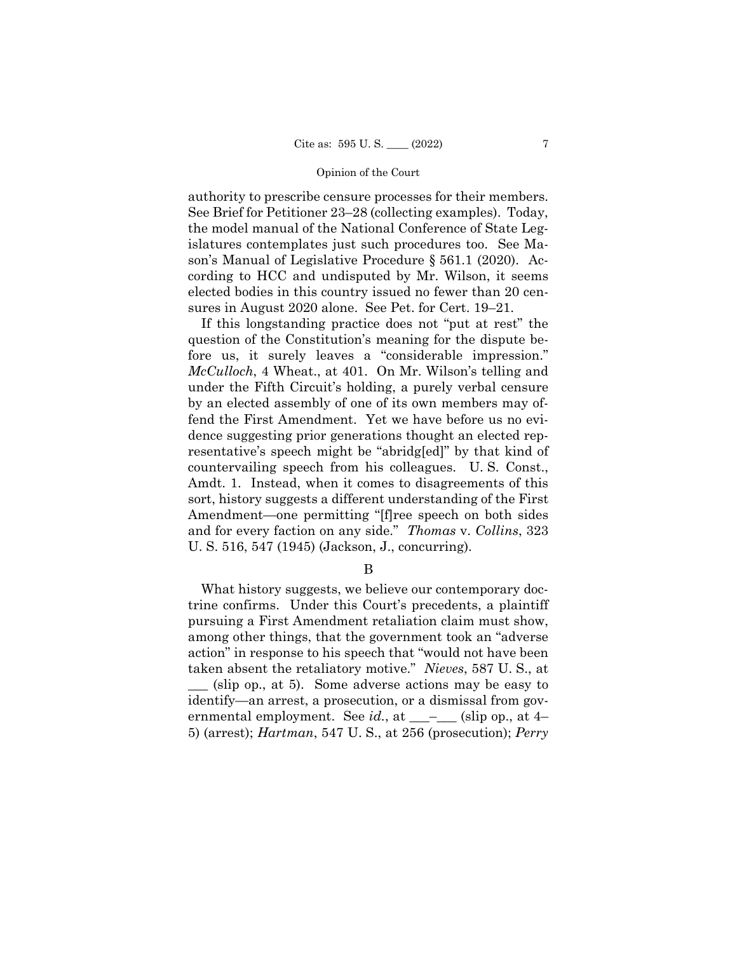authority to prescribe censure processes for their members. See Brief for Petitioner 23–28 (collecting examples). Today, the model manual of the National Conference of State Legislatures contemplates just such procedures too. See Mason's Manual of Legislative Procedure § 561.1 (2020). According to HCC and undisputed by Mr. Wilson, it seems elected bodies in this country issued no fewer than 20 censures in August 2020 alone. See Pet. for Cert. 19–21.

If this longstanding practice does not "put at rest" the question of the Constitution's meaning for the dispute before us, it surely leaves a "considerable impression." *McCulloch*, 4 Wheat., at 401. On Mr. Wilson's telling and under the Fifth Circuit's holding, a purely verbal censure by an elected assembly of one of its own members may offend the First Amendment. Yet we have before us no evidence suggesting prior generations thought an elected representative's speech might be "abridg[ed]" by that kind of countervailing speech from his colleagues. U. S. Const., Amdt. 1. Instead, when it comes to disagreements of this sort, history suggests a different understanding of the First Amendment—one permitting "[f]ree speech on both sides and for every faction on any side." *Thomas* v. *Collins*, 323 U. S. 516, 547 (1945) (Jackson, J., concurring).

B

What history suggests, we believe our contemporary doctrine confirms. Under this Court's precedents, a plaintiff pursuing a First Amendment retaliation claim must show, among other things, that the government took an "adverse action" in response to his speech that "would not have been taken absent the retaliatory motive." *Nieves*, 587 U. S., at (slip op., at 5). Some adverse actions may be easy to identify—an arrest, a prosecution, or a dismissal from governmental employment. See *id.*, at  $\qquad$   $-$  (slip op., at 4– 5) (arrest); *Hartman*, 547 U. S., at 256 (prosecution); *Perry*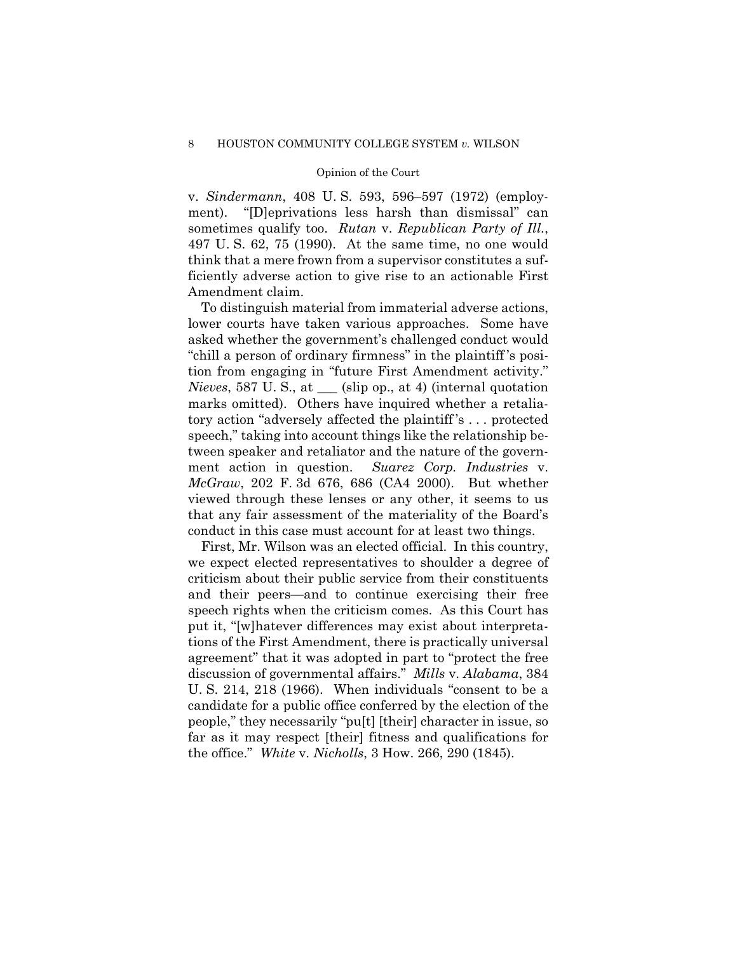v. *Sindermann*, 408 U. S. 593, 596–597 (1972) (employment). "[D]eprivations less harsh than dismissal" can sometimes qualify too. *Rutan* v. *Republican Party of Ill.*, 497 U. S. 62, 75 (1990). At the same time, no one would think that a mere frown from a supervisor constitutes a sufficiently adverse action to give rise to an actionable First Amendment claim.

 *McGraw*, 202 F. 3d 676, 686 (CA4 2000). But whether To distinguish material from immaterial adverse actions, lower courts have taken various approaches. Some have asked whether the government's challenged conduct would "chill a person of ordinary firmness" in the plaintiff 's position from engaging in "future First Amendment activity." *Nieves*, 587 U. S., at \_\_\_ (slip op., at 4) (internal quotation marks omitted). Others have inquired whether a retaliatory action "adversely affected the plaintiff 's . . . protected speech," taking into account things like the relationship between speaker and retaliator and the nature of the government action in question. *Suarez Corp. Industries* v. viewed through these lenses or any other, it seems to us that any fair assessment of the materiality of the Board's conduct in this case must account for at least two things.

First, Mr. Wilson was an elected official. In this country, we expect elected representatives to shoulder a degree of criticism about their public service from their constituents and their peers—and to continue exercising their free speech rights when the criticism comes. As this Court has put it, "[w]hatever differences may exist about interpretations of the First Amendment, there is practically universal agreement" that it was adopted in part to "protect the free discussion of governmental affairs." *Mills* v. *Alabama*, 384 U. S. 214, 218 (1966). When individuals "consent to be a candidate for a public office conferred by the election of the people," they necessarily "pu[t] [their] character in issue, so far as it may respect [their] fitness and qualifications for the office." *White* v. *Nicholls*, 3 How. 266, 290 (1845).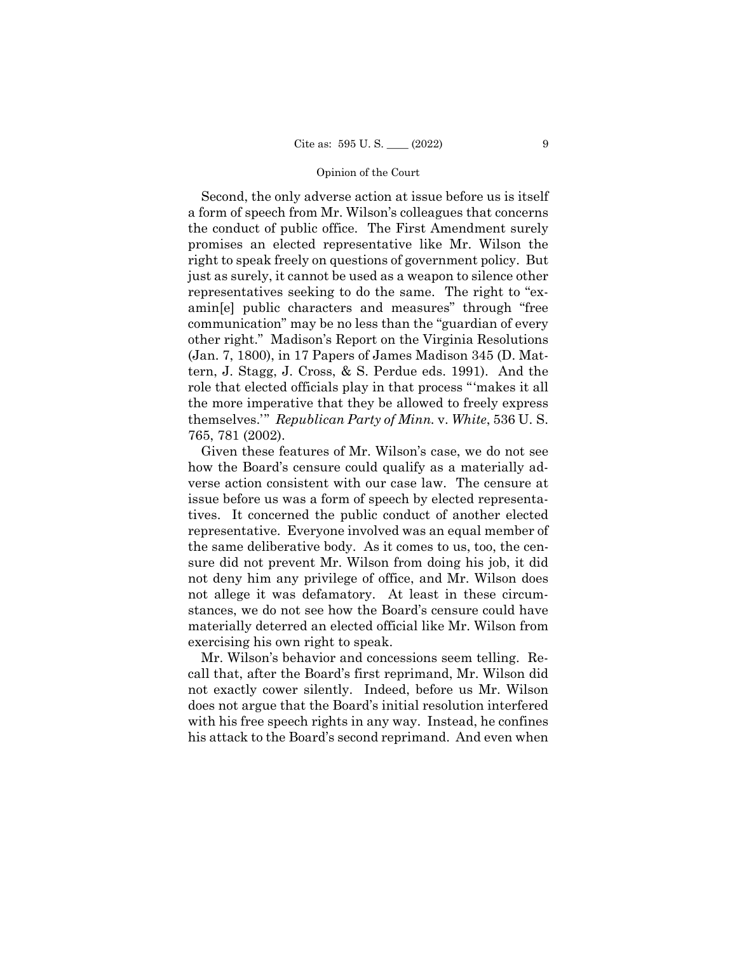Second, the only adverse action at issue before us is itself a form of speech from Mr. Wilson's colleagues that concerns the conduct of public office. The First Amendment surely promises an elected representative like Mr. Wilson the right to speak freely on questions of government policy. But just as surely, it cannot be used as a weapon to silence other representatives seeking to do the same. The right to "examin[e] public characters and measures" through "free communication" may be no less than the "guardian of every other right." Madison's Report on the Virginia Resolutions (Jan. 7, 1800), in 17 Papers of James Madison 345 (D. Mattern, J. Stagg, J. Cross, & S. Perdue eds. 1991). And the role that elected officials play in that process "'makes it all the more imperative that they be allowed to freely express themselves.'" *Republican Party of Minn.* v. *White*, 536 U. S. 765, 781 (2002).

Given these features of Mr. Wilson's case, we do not see how the Board's censure could qualify as a materially adverse action consistent with our case law. The censure at issue before us was a form of speech by elected representatives. It concerned the public conduct of another elected representative. Everyone involved was an equal member of the same deliberative body. As it comes to us, too, the censure did not prevent Mr. Wilson from doing his job, it did not deny him any privilege of office, and Mr. Wilson does not allege it was defamatory. At least in these circumstances, we do not see how the Board's censure could have materially deterred an elected official like Mr. Wilson from exercising his own right to speak.

Mr. Wilson's behavior and concessions seem telling. Recall that, after the Board's first reprimand, Mr. Wilson did not exactly cower silently. Indeed, before us Mr. Wilson does not argue that the Board's initial resolution interfered with his free speech rights in any way. Instead, he confines his attack to the Board's second reprimand. And even when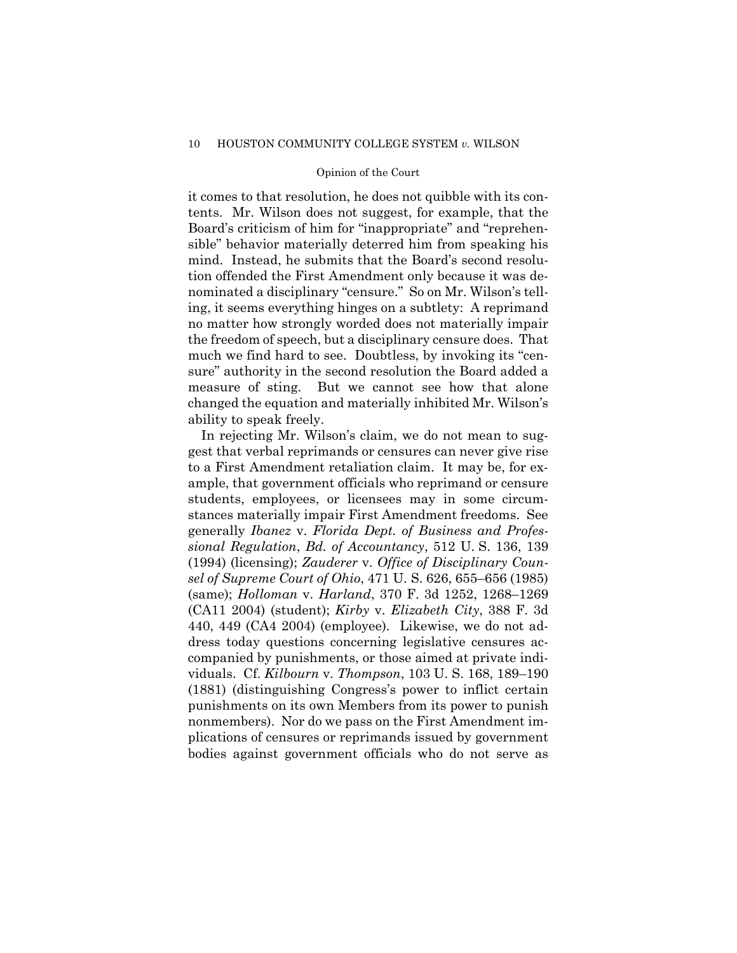it comes to that resolution, he does not quibble with its contents. Mr. Wilson does not suggest, for example, that the Board's criticism of him for "inappropriate" and "reprehensible" behavior materially deterred him from speaking his mind. Instead, he submits that the Board's second resolution offended the First Amendment only because it was denominated a disciplinary "censure." So on Mr. Wilson's telling, it seems everything hinges on a subtlety: A reprimand no matter how strongly worded does not materially impair the freedom of speech, but a disciplinary censure does. That much we find hard to see. Doubtless, by invoking its "censure" authority in the second resolution the Board added a measure of sting. But we cannot see how that alone changed the equation and materially inhibited Mr. Wilson's ability to speak freely.

In rejecting Mr. Wilson's claim, we do not mean to suggest that verbal reprimands or censures can never give rise to a First Amendment retaliation claim. It may be, for example, that government officials who reprimand or censure students, employees, or licensees may in some circumstances materially impair First Amendment freedoms. See generally *Ibanez* v. *Florida Dept. of Business and Professional Regulation*, *Bd. of Accountancy*, 512 U. S. 136, 139 (1994) (licensing); *Zauderer* v. *Office of Disciplinary Counsel of Supreme Court of Ohio*, 471 U. S. 626, 655–656 (1985) (same); *Holloman* v. *Harland*, 370 F. 3d 1252, 1268–1269 (CA11 2004) (student); *Kirby* v. *Elizabeth City*, 388 F. 3d 440, 449 (CA4 2004) (employee). Likewise, we do not address today questions concerning legislative censures accompanied by punishments, or those aimed at private individuals. Cf. *Kilbourn* v. *Thompson*, 103 U. S. 168, 189–190 (1881) (distinguishing Congress's power to inflict certain punishments on its own Members from its power to punish nonmembers). Nor do we pass on the First Amendment implications of censures or reprimands issued by government bodies against government officials who do not serve as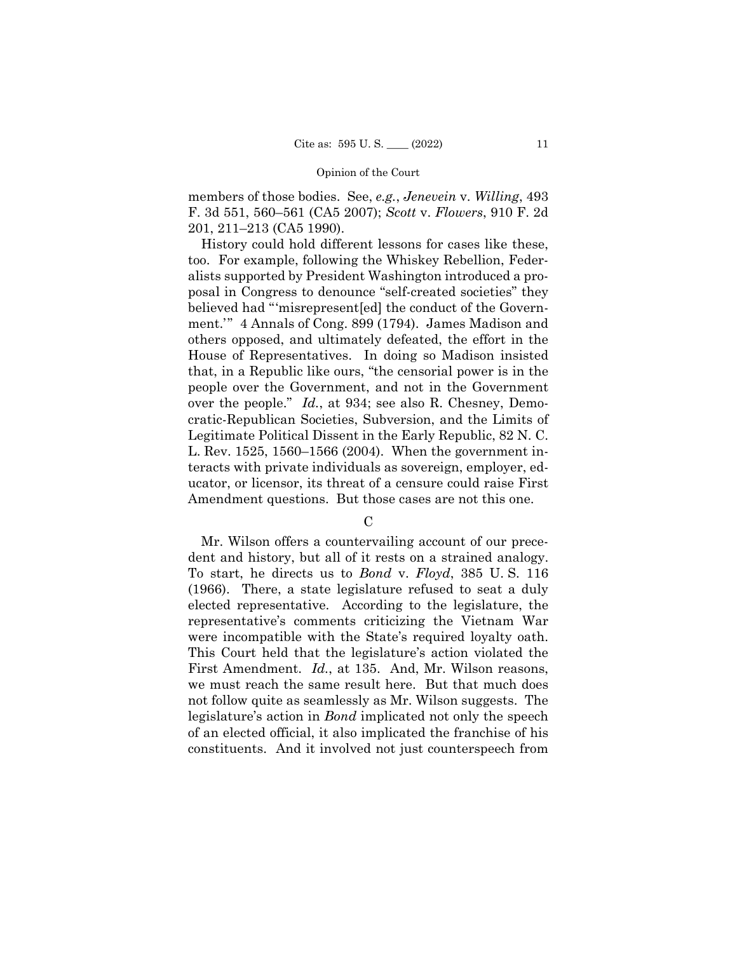members of those bodies. See, *e.g.*, *Jenevein* v. *Willing*, 493 F. 3d 551, 560–561 (CA5 2007); *Scott* v. *Flowers*, 910 F. 2d 201, 211–213 (CA5 1990).

History could hold different lessons for cases like these, too. For example, following the Whiskey Rebellion, Federalists supported by President Washington introduced a proposal in Congress to denounce "self-created societies" they believed had "'misrepresent[ed] the conduct of the Government.'" 4 Annals of Cong. 899 (1794). James Madison and others opposed, and ultimately defeated, the effort in the House of Representatives. In doing so Madison insisted that, in a Republic like ours, "the censorial power is in the people over the Government, and not in the Government over the people." *Id.*, at 934; see also R. Chesney, Democratic-Republican Societies, Subversion, and the Limits of Legitimate Political Dissent in the Early Republic, 82 N. C. L. Rev. 1525, 1560–1566 (2004). When the government interacts with private individuals as sovereign, employer, educator, or licensor, its threat of a censure could raise First Amendment questions. But those cases are not this one.

 $\mathcal{C}$ 

Mr. Wilson offers a countervailing account of our precedent and history, but all of it rests on a strained analogy. To start, he directs us to *Bond* v. *Floyd*, 385 U. S. 116 (1966). There, a state legislature refused to seat a duly elected representative. According to the legislature, the representative's comments criticizing the Vietnam War were incompatible with the State's required loyalty oath. This Court held that the legislature's action violated the First Amendment. *Id.*, at 135. And, Mr. Wilson reasons, we must reach the same result here. But that much does not follow quite as seamlessly as Mr. Wilson suggests. The legislature's action in *Bond* implicated not only the speech of an elected official, it also implicated the franchise of his constituents. And it involved not just counterspeech from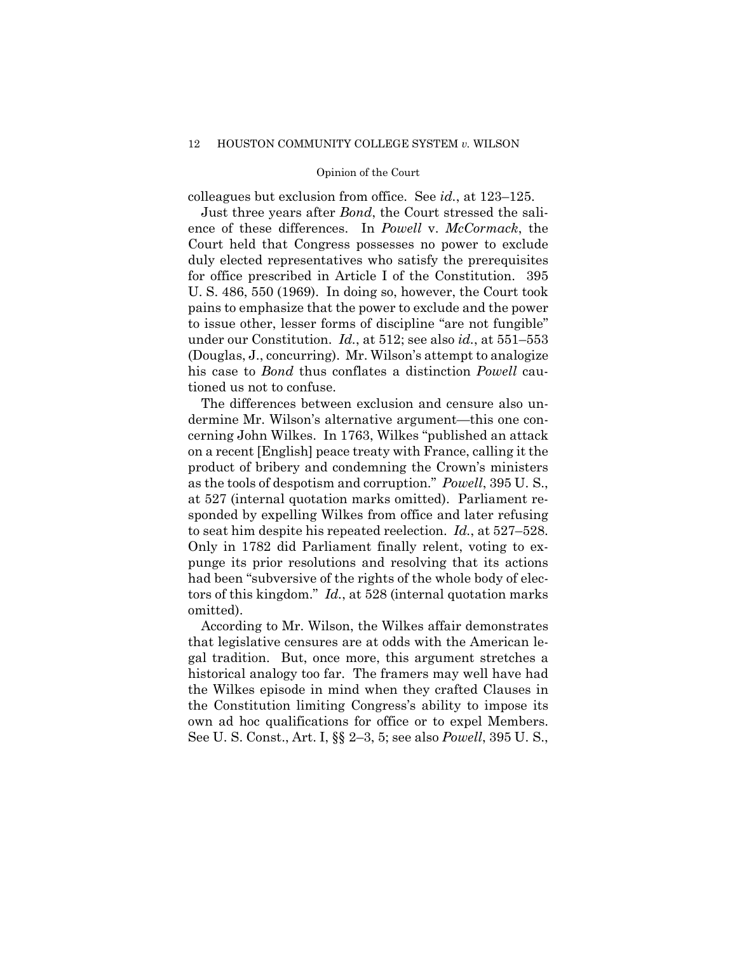colleagues but exclusion from office. See *id.*, at 123–125.

Just three years after *Bond*, the Court stressed the salience of these differences. In *Powell* v. *McCormack*, the Court held that Congress possesses no power to exclude duly elected representatives who satisfy the prerequisites for office prescribed in Article I of the Constitution. 395 U. S. 486, 550 (1969). In doing so, however, the Court took pains to emphasize that the power to exclude and the power to issue other, lesser forms of discipline "are not fungible" under our Constitution. *Id.*, at 512; see also *id.*, at 551–553 (Douglas, J., concurring). Mr. Wilson's attempt to analogize his case to *Bond* thus conflates a distinction *Powell* cautioned us not to confuse.

The differences between exclusion and censure also undermine Mr. Wilson's alternative argument—this one concerning John Wilkes. In 1763, Wilkes "published an attack on a recent [English] peace treaty with France, calling it the product of bribery and condemning the Crown's ministers as the tools of despotism and corruption." *Powell*, 395 U. S., at 527 (internal quotation marks omitted). Parliament responded by expelling Wilkes from office and later refusing to seat him despite his repeated reelection. *Id.*, at 527–528. Only in 1782 did Parliament finally relent, voting to expunge its prior resolutions and resolving that its actions had been "subversive of the rights of the whole body of electors of this kingdom." *Id.*, at 528 (internal quotation marks omitted).

According to Mr. Wilson, the Wilkes affair demonstrates that legislative censures are at odds with the American legal tradition. But, once more, this argument stretches a historical analogy too far. The framers may well have had the Wilkes episode in mind when they crafted Clauses in the Constitution limiting Congress's ability to impose its own ad hoc qualifications for office or to expel Members. See U. S. Const., Art. I, §§ 2–3, 5; see also *Powell*, 395 U. S.,